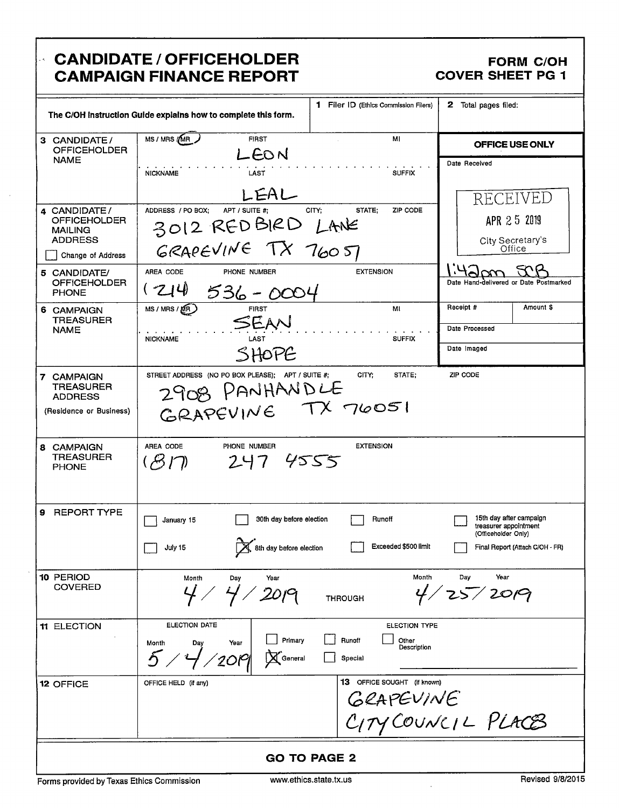#### **CANDIDATE / OFFICEHOLDER** À, **CAMPAIGN FINANCE REPORT**

### **FORM C/OH COVER SHEET PG 1**

|                                                                      | The C/OH Instruction Guide explains how to complete this form.                                            | 1 Filer ID (Ethics Commission Filers)                             | <b>2</b> Total pages filed:                                                                                |
|----------------------------------------------------------------------|-----------------------------------------------------------------------------------------------------------|-------------------------------------------------------------------|------------------------------------------------------------------------------------------------------------|
| 3 CANDIDATE/<br><b>OFFICEHOLDER</b>                                  | MS / MRS /MR<br><b>FIRST</b>                                                                              | МI                                                                | OFFICE USE ONLY                                                                                            |
| NAME                                                                 | LEON<br><b>NICKNAME</b><br>LAST                                                                           | <b>SUFFIX</b>                                                     | Date Received                                                                                              |
|                                                                      | LEAL                                                                                                      |                                                                   | RECEIVED                                                                                                   |
| 4 CANDIDATE/<br>OFFICEHOLDER<br><b>MAILING</b>                       | ADDRESS / PO BOX;<br>APT / SUITE #;<br>3012 REDBIRD LANE                                                  | STATE:<br>ZIP CODE<br>CITY:                                       | APR 25 2019                                                                                                |
| <b>ADDRESS</b><br>Change of Address                                  | GRAPEVINE TX 76051                                                                                        |                                                                   | City Secretary's<br>Office                                                                                 |
| 5 CANDIDATE/<br><b>OFFICEHOLDER</b><br><b>PHONE</b>                  | AREA CODE<br>PHONE NUMBER<br>(24)<br>536-0004                                                             | <b>EXTENSION</b>                                                  | Date Hand-delivered or Date Postmarked                                                                     |
| 6 CAMPAIGN<br><b>TREASURER</b>                                       | MS / MRS / M(R)<br><b>FIRST</b>                                                                           | MI                                                                | Receipt #<br>Amount \$                                                                                     |
| <b>NAME</b>                                                          | SEAN<br><b>NICKNAME</b><br>LAST                                                                           | <b>SUFFIX</b>                                                     | Date Processed                                                                                             |
|                                                                      | SHOPE                                                                                                     |                                                                   | Date Imaged                                                                                                |
| 7 CAMPAIGN<br>TREASURER<br><b>ADDRESS</b><br>(Residence or Business) | STREET ADDRESS (NO PO BOX PLEASE); APT / SUITE #;<br>2908 PANHANDLE                                       | CITY:<br>STATE;                                                   | ZIP CODE                                                                                                   |
| 8 CAMPAIGN<br><b>TREASURER</b><br><b>PHONE</b>                       | AREA CODE<br>PHONE NUMBER<br>247455<br>(ドロ)                                                               | <b>EXTENSION</b>                                                  |                                                                                                            |
| 9 REPORT TYPE                                                        | 30th day before election<br>January 15<br>$\mathbb X$ 8th day before election<br>July 15<br>∠             | Runoff<br>Exceeded \$500 limit                                    | 15th day after campaign<br>treasurer appointment<br>(Officeholder Only)<br>Final Report (Attach C/OH - FR) |
| 10 PERIOD<br><b>COVERED</b>                                          | Month<br>Year<br>Day<br>$4/20$ pg                                                                         | Month<br><b>THROUGH</b>                                           | Day<br>Year<br>25/2009                                                                                     |
| 11 ELECTION                                                          | <b>ELECTION DATE</b><br>Primary<br>Year<br>Month<br>Day<br>$5$ /<br>$\sqrt{2}$ 019<br>$\mathbf X$ General | <b>ELECTION TYPE</b><br>Runoff<br>Other<br>Description<br>Special |                                                                                                            |
| <b>12 OFFICE</b>                                                     | OFFICE HELD (if any)                                                                                      | 13 OFFICE SOUGHT (if known)                                       | GRAPEVINE<br>CITY COUNCIL PLACES                                                                           |
|                                                                      |                                                                                                           | <b>GO TO PAGE 2</b>                                               |                                                                                                            |

Forms provided by Texas Ethics Commission

www.ethics.state.tx.us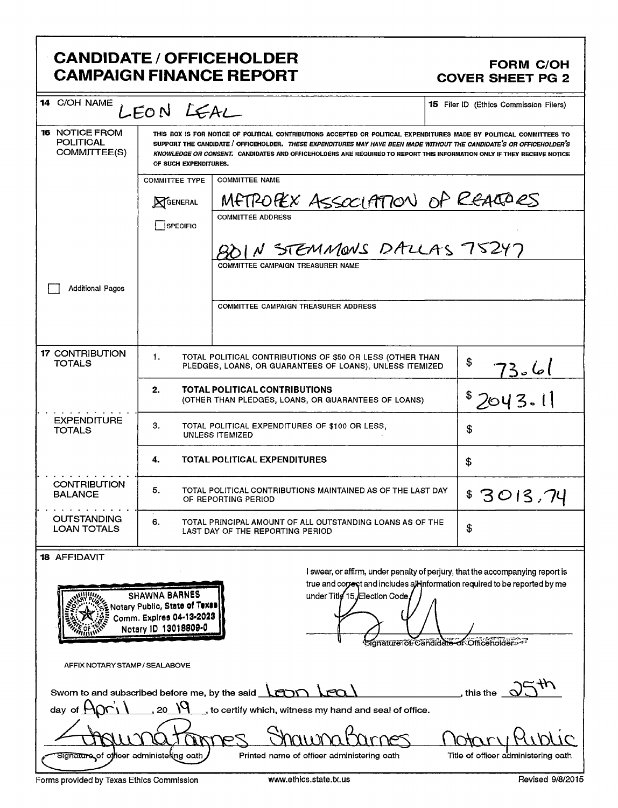| <b>CANDIDATE / OFFICEHOLDER</b><br><b>FORM C/OH</b><br><b>CAMPAIGN FINANCE REPORT</b><br><b>COVER SHEET PG 2</b> |                                                                                                                                                                                                                                                                                                                                                                                                  |                                                                                                                         |                                                                                                                                                                                                        |  |
|------------------------------------------------------------------------------------------------------------------|--------------------------------------------------------------------------------------------------------------------------------------------------------------------------------------------------------------------------------------------------------------------------------------------------------------------------------------------------------------------------------------------------|-------------------------------------------------------------------------------------------------------------------------|--------------------------------------------------------------------------------------------------------------------------------------------------------------------------------------------------------|--|
| <b>14</b> C/OH NAME<br><b>15</b> Filer ID (Ethics Commission Filers)<br>LEON LEAL                                |                                                                                                                                                                                                                                                                                                                                                                                                  |                                                                                                                         |                                                                                                                                                                                                        |  |
| <b>16 NOTICE FROM</b><br><b>POLITICAL</b><br>COMMITTEE(S)                                                        | THIS BOX IS FOR NOTICE OF POLITICAL CONTRIBUTIONS ACCEPTED OR POLITICAL EXPENDITURES MADE BY POLITICAL COMMITTEES TO<br>SUPPORT THE CANDIDATE / OFFICEHOLDER. THESE EXPENDITURES MAY HAVE BEEN MADE WITHOUT THE CANDIDATE'S OR OFFICEHOLDER'S<br>KNOWLEDGE OR CONSENT. CANDIDATES AND OFFICEHOLDERS ARE REQUIRED TO REPORT THIS INFORMATION ONLY IF THEY RECEIVE NOTICE<br>OF SUCH EXPENDITURES. |                                                                                                                         |                                                                                                                                                                                                        |  |
|                                                                                                                  | <b>COMMITTEE TYPE</b>                                                                                                                                                                                                                                                                                                                                                                            | <b>COMMITTEE NAME</b>                                                                                                   |                                                                                                                                                                                                        |  |
|                                                                                                                  | <b>NGENERAL</b>                                                                                                                                                                                                                                                                                                                                                                                  | METROPEX ASSOCIATION OF REACTORS<br><b>COMMITTEE ADDRESS</b>                                                            |                                                                                                                                                                                                        |  |
|                                                                                                                  | SPECIFIC                                                                                                                                                                                                                                                                                                                                                                                         |                                                                                                                         |                                                                                                                                                                                                        |  |
|                                                                                                                  |                                                                                                                                                                                                                                                                                                                                                                                                  | N STEMMONS DALLAS 75247                                                                                                 |                                                                                                                                                                                                        |  |
| <b>Additional Pages</b>                                                                                          |                                                                                                                                                                                                                                                                                                                                                                                                  | <b>COMMITTEE CAMPAIGN TREASURER NAME</b>                                                                                |                                                                                                                                                                                                        |  |
|                                                                                                                  |                                                                                                                                                                                                                                                                                                                                                                                                  | <b>COMMITTEE CAMPAIGN TREASURER ADDRESS</b>                                                                             |                                                                                                                                                                                                        |  |
| <b>17 CONTRIBUTION</b><br>TOTALS                                                                                 | 1.                                                                                                                                                                                                                                                                                                                                                                                               | TOTAL POLITICAL CONTRIBUTIONS OF \$50 OR LESS (OTHER THAN<br>PLEDGES, LOANS, OR GUARANTEES OF LOANS), UNLESS ITEMIZED   | \$<br>) صا - 73                                                                                                                                                                                        |  |
|                                                                                                                  | 2.                                                                                                                                                                                                                                                                                                                                                                                               | TOTAL POLITICAL CONTRIBUTIONS<br>(OTHER THAN PLEDGES, LOANS, OR GUARANTEES OF LOANS)                                    | \$2043.1]                                                                                                                                                                                              |  |
| <b>EXPENDITURE</b><br><b>TOTALS</b>                                                                              | З.<br>TOTAL POLITICAL EXPENDITURES OF \$100 OR LESS,<br>\$<br>UNLESS ITEMIZED                                                                                                                                                                                                                                                                                                                    |                                                                                                                         |                                                                                                                                                                                                        |  |
|                                                                                                                  | 4.                                                                                                                                                                                                                                                                                                                                                                                               | <b>TOTAL POLITICAL EXPENDITURES</b>                                                                                     | \$                                                                                                                                                                                                     |  |
| <b>CONTRIBUTION</b><br>BALANCE                                                                                   | 5.                                                                                                                                                                                                                                                                                                                                                                                               | TOTAL POLITICAL CONTRIBUTIONS MAINTAINED AS OF THE LAST DAY<br>OF REPORTING PERIOD                                      | 3013,74                                                                                                                                                                                                |  |
| <b>OUTSTANDING</b><br><b>LOAN TOTALS</b>                                                                         | 6.                                                                                                                                                                                                                                                                                                                                                                                               | TOTAL PRINCIPAL AMOUNT OF ALL OUTSTANDING LOANS AS OF THE<br>LAST DAY OF THE REPORTING PERIOD                           | \$                                                                                                                                                                                                     |  |
| <b>18 AFFIDAVIT</b><br>mm                                                                                        | <b>SHAWNA BARNES</b><br>Notary Public, State of Texas<br>Comm. Explres 04-13-2023<br>Notary ID 13018809-0                                                                                                                                                                                                                                                                                        | under Title 15, Election Code,                                                                                          | I swear, or affirm, under penalty of perjury, that the accompanying report is<br>true and correct and includes all-information required to be reported by me<br>Signature of Candidate of Officeholder |  |
| AFFIX NOTARY STAMP / SEALABOVE                                                                                   |                                                                                                                                                                                                                                                                                                                                                                                                  |                                                                                                                         |                                                                                                                                                                                                        |  |
| day of                                                                                                           | 20                                                                                                                                                                                                                                                                                                                                                                                               | Sworn to and subscribed before me, by the said <b>LEDD</b> LEQ<br>to certify which, witness my hand and seal of office. | , this the <                                                                                                                                                                                           |  |
| Si <del>gnature of</del> officer administering oath                                                              |                                                                                                                                                                                                                                                                                                                                                                                                  | Printed name of officer administering oath                                                                              | Title of officer administering oath                                                                                                                                                                    |  |

Forms provided by Texas Ethics Commission www.ethics.state.tx.us Revised 9/8/2015

=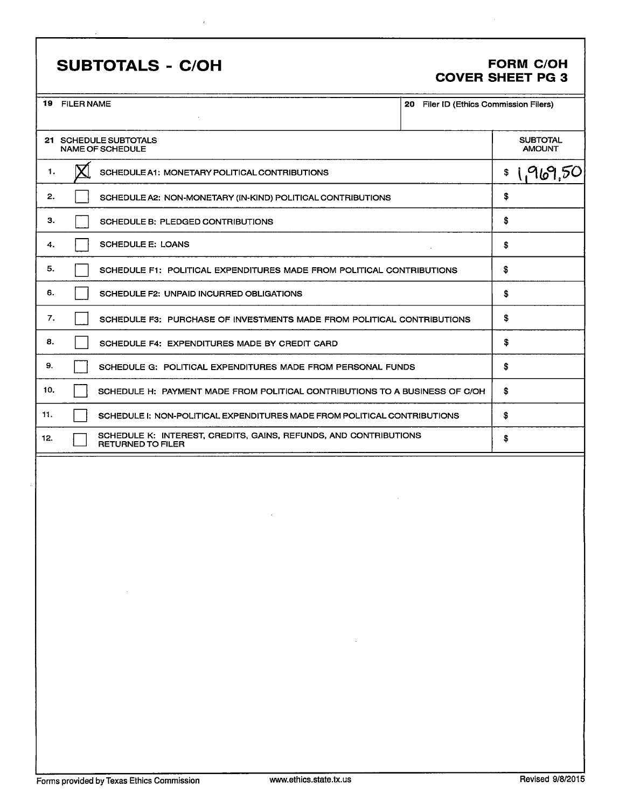## SUBTOTALS - C/OH FORM C/OH

# COVER SHEET PG 3

|     | 19 FILER NAME                                                                                | 20 Filer ID (Ethics Commission Filers) |                                  |
|-----|----------------------------------------------------------------------------------------------|----------------------------------------|----------------------------------|
|     | 21 SCHEDULE SUBTOTALS<br><b>NAME OF SCHEDULE</b>                                             |                                        | <b>SUBTOTAL</b><br><b>AMOUNT</b> |
| 1.  | SCHEDULE A1: MONETARY POLITICAL CONTRIBUTIONS                                                |                                        | 1,969,50<br>\$                   |
| 2.  | SCHEDULE A2: NON-MONETARY (IN-KIND) POLITICAL CONTRIBUTIONS                                  |                                        | \$                               |
| З.  | SCHEDULE B: PLEDGED CONTRIBUTIONS                                                            |                                        | \$                               |
| 4.  | <b>SCHEDULE E: LOANS</b>                                                                     |                                        | \$                               |
| 5.  | SCHEDULE F1: POLITICAL EXPENDITURES MADE FROM POLITICAL CONTRIBUTIONS                        |                                        | \$                               |
| 6.  | SCHEDULE F2: UNPAID INCURRED OBLIGATIONS                                                     |                                        | \$                               |
| 7.  | SCHEDULE F3: PURCHASE OF INVESTMENTS MADE FROM POLITICAL CONTRIBUTIONS                       |                                        | \$                               |
| 8.  | SCHEDULE F4: EXPENDITURES MADE BY CREDIT CARD                                                |                                        | \$                               |
| 9.  | SCHEDULE G: POLITICAL EXPENDITURES MADE FROM PERSONAL FUNDS                                  |                                        | \$                               |
| 10. | SCHEDULE H: PAYMENT MADE FROM POLITICAL CONTRIBUTIONS TO A BUSINESS OF C/OH                  |                                        | \$                               |
| 11. | SCHEDULE I: NON-POLITICAL EXPENDITURES MADE FROM POLITICAL CONTRIBUTIONS                     |                                        | \$                               |
| 12. | SCHEDULE K: INTEREST, CREDITS, GAINS, REFUNDS, AND CONTRIBUTIONS<br><b>RETURNED TO FILER</b> |                                        | \$                               |
|     | $\mathcal{O}(\mathcal{O}(N))$ . The $\mathcal{O}(\mathcal{O}(N))$                            |                                        |                                  |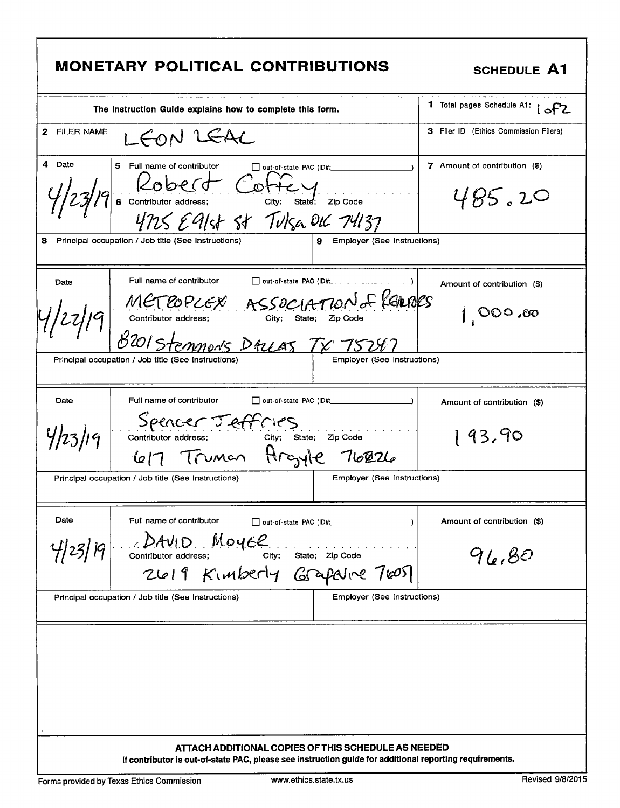| <b>MONETARY POLITICAL CONTRIBUTIONS</b>                                                                                                                                                                                                                                     | <b>SCHEDULE A1</b>                       |  |
|-----------------------------------------------------------------------------------------------------------------------------------------------------------------------------------------------------------------------------------------------------------------------------|------------------------------------------|--|
| The Instruction Guide explains how to complete this form.                                                                                                                                                                                                                   | 1 Total pages Schedule A1:<br>$1$ of $2$ |  |
| 2 FILER NAME<br>LEON LEAL                                                                                                                                                                                                                                                   | 3 Filer ID (Ethics Commission Filers)    |  |
| 4 Date<br>5 Full name of contributor<br>out-of-state PAC (ID#: __________<br>Robert Cottey<br>6 Contributor address; City; State; Zip Code<br>4725 E9/st St Tulsa OLC 74137<br>Principal occupation / Job title (See Instructions)<br>8<br>9<br>Employer (See Instructions) | 7 Amount of contribution (\$)<br>485.20  |  |
|                                                                                                                                                                                                                                                                             |                                          |  |
| Full name of contributor<br>out-of-state PAC (ID#:<br>Date                                                                                                                                                                                                                  | Amount of contribution (\$)              |  |
| METROPLEX ASSOCIATION & REMORTS<br>CONTINUTOR address: City; state; ZIP Code<br>B201 Stemmon's DALAS TX 75247                                                                                                                                                               | ೲ. ೦೦೦                                   |  |
| <b>Employer (See Instructions)</b><br>Principal occupation / Job title (See Instructions)                                                                                                                                                                                   |                                          |  |
| Full name of contributor<br>Date                                                                                                                                                                                                                                            | Amount of contribution (\$)              |  |
| Spencer Teffnes<br>4/23/19<br>Zip Code<br>617 Truman Argyle 76826                                                                                                                                                                                                           | 93,90                                    |  |
| Employer (See Instructions)<br>Principal occupation / Job title (See Instructions)                                                                                                                                                                                          |                                          |  |
| Date<br>Full name of contributor                                                                                                                                                                                                                                            | Amount of contribution (\$)              |  |
| DAVID Moyce<br>Contributor address; City; State; Zip Code<br>ZLO19 KIMDERLY GrapeVine 7605<br>4/23/19                                                                                                                                                                       | 96,80                                    |  |
| Employer (See Instructions)<br>Principal occupation / Job title (See Instructions)                                                                                                                                                                                          |                                          |  |
|                                                                                                                                                                                                                                                                             |                                          |  |
| ATTACH ADDITIONAL COPIES OF THIS SCHEDULE AS NEEDED<br>If contributor is out-of-state PAC, please see instruction guide for additional reporting requirements.                                                                                                              |                                          |  |

Г

٦